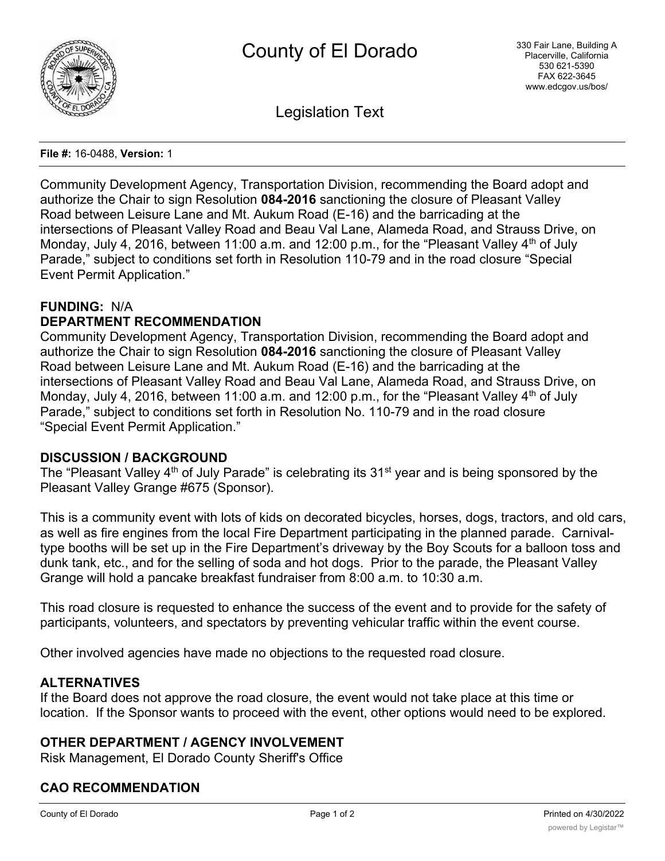

Legislation Text

#### **File #:** 16-0488, **Version:** 1

Community Development Agency, Transportation Division, recommending the Board adopt and authorize the Chair to sign Resolution **084-2016** sanctioning the closure of Pleasant Valley Road between Leisure Lane and Mt. Aukum Road (E-16) and the barricading at the intersections of Pleasant Valley Road and Beau Val Lane, Alameda Road, and Strauss Drive, on Monday, July 4, 2016, between 11:00 a.m. and 12:00 p.m., for the "Pleasant Valley 4<sup>th</sup> of July Parade," subject to conditions set forth in Resolution 110-79 and in the road closure "Special Event Permit Application."

# **FUNDING:** N/A

# **DEPARTMENT RECOMMENDATION**

Community Development Agency, Transportation Division, recommending the Board adopt and authorize the Chair to sign Resolution **084-2016** sanctioning the closure of Pleasant Valley Road between Leisure Lane and Mt. Aukum Road (E-16) and the barricading at the intersections of Pleasant Valley Road and Beau Val Lane, Alameda Road, and Strauss Drive, on Monday, July 4, 2016, between 11:00 a.m. and 12:00 p.m., for the "Pleasant Valley  $4<sup>th</sup>$  of July Parade," subject to conditions set forth in Resolution No. 110-79 and in the road closure "Special Event Permit Application."

### **DISCUSSION / BACKGROUND**

The "Pleasant Valley  $4<sup>th</sup>$  of July Parade" is celebrating its 31<sup>st</sup> year and is being sponsored by the Pleasant Valley Grange #675 (Sponsor).

This is a community event with lots of kids on decorated bicycles, horses, dogs, tractors, and old cars, as well as fire engines from the local Fire Department participating in the planned parade. Carnivaltype booths will be set up in the Fire Department's driveway by the Boy Scouts for a balloon toss and dunk tank, etc., and for the selling of soda and hot dogs. Prior to the parade, the Pleasant Valley Grange will hold a pancake breakfast fundraiser from 8:00 a.m. to 10:30 a.m.

This road closure is requested to enhance the success of the event and to provide for the safety of participants, volunteers, and spectators by preventing vehicular traffic within the event course.

Other involved agencies have made no objections to the requested road closure.

# **ALTERNATIVES**

If the Board does not approve the road closure, the event would not take place at this time or location. If the Sponsor wants to proceed with the event, other options would need to be explored.

# **OTHER DEPARTMENT / AGENCY INVOLVEMENT**

Risk Management, El Dorado County Sheriff's Office

# **CAO RECOMMENDATION**